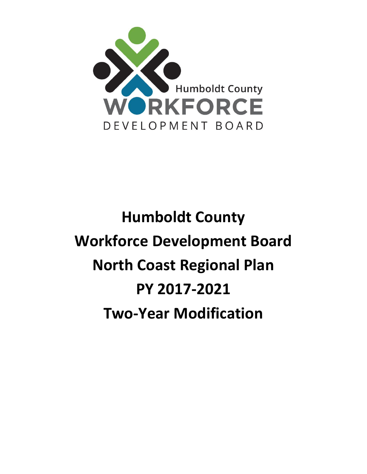

# **Humboldt County Workforce Development Board North Coast Regional Plan PY 2017-2021 Two-Year Modification**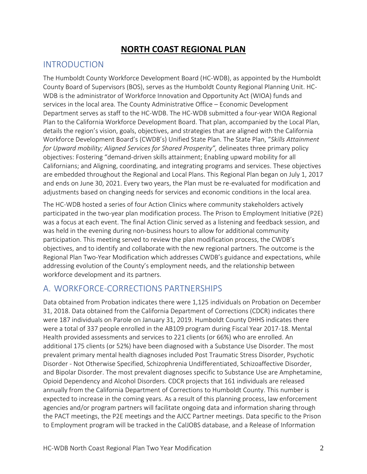# **NORTH COAST REGIONAL PLAN**

# INTRODUCTION

The Humboldt County Workforce Development Board (HC-WDB), as appointed by the Humboldt County Board of Supervisors (BOS), serves as the Humboldt County Regional Planning Unit. HC-WDB is the administrator of Workforce Innovation and Opportunity Act (WIOA) funds and services in the local area. The County Administrative Office – Economic Development Department serves as staff to the HC-WDB. The HC-WDB submitted a four-year WIOA Regional Plan to the California Workforce Development Board. That plan, accompanied by the Local Plan, details the region's vision, goals, objectives, and strategies that are aligned with the California Workforce Development Board's (CWDB's) Unified State Plan. The State Plan, "*Skills Attainment for Upward mobility; Aligned Services for Shared Prosperity",* delineates three primary policy objectives: Fostering "demand-driven skills attainment; Enabling upward mobility for all Californians; and Aligning, coordinating, and integrating programs and services. These objectives are embedded throughout the Regional and Local Plans. This Regional Plan began on July 1, 2017 and ends on June 30, 2021. Every two years, the Plan must be re-evaluated for modification and adjustments based on changing needs for services and economic conditions in the local area.

The HC-WDB hosted a series of four Action Clinics where community stakeholders actively participated in the two-year plan modification process. The Prison to Employment Initiative (P2E) was a focus at each event. The final Action Clinic served as a listening and feedback session, and was held in the evening during non-business hours to allow for additional community participation. This meeting served to review the plan modification process, the CWDB's objectives, and to identify and collaborate with the new regional partners. The outcome is the Regional Plan Two-Year Modification which addresses CWDB's guidance and expectations, while addressing evolution of the County's employment needs, and the relationship between workforce development and its partners.

# A. WORKFORCE-CORRECTIONS PARTNERSHIPS

Data obtained from Probation indicates there were 1,125 individuals on Probation on December 31, 2018. Data obtained from the California Department of Corrections (CDCR) indicates there were 187 individuals on Parole on January 31, 2019. Humboldt County DHHS indicates there were a total of 337 people enrolled in the AB109 program during Fiscal Year 2017-18. Mental Health provided assessments and services to 221 clients (or 66%) who are enrolled. An additional 175 clients (or 52%) have been diagnosed with a Substance Use Disorder. The most prevalent primary mental health diagnoses included Post Traumatic Stress Disorder, Psychotic Disorder - Not Otherwise Specified, Schizophrenia Undifferentiated, Schizoaffective Disorder, and Bipolar Disorder. The most prevalent diagnoses specific to Substance Use are Amphetamine, Opioid Dependency and Alcohol Disorders. CDCR projects that 161 individuals are released annually from the California Department of Corrections to Humboldt County. This number is expected to increase in the coming years. As a result of this planning process, law enforcement agencies and/or program partners will facilitate ongoing data and information sharing through the PACT meetings, the P2E meetings and the AJCC Partner meetings. Data specific to the Prison to Employment program will be tracked in the CalJOBS database, and a Release of Information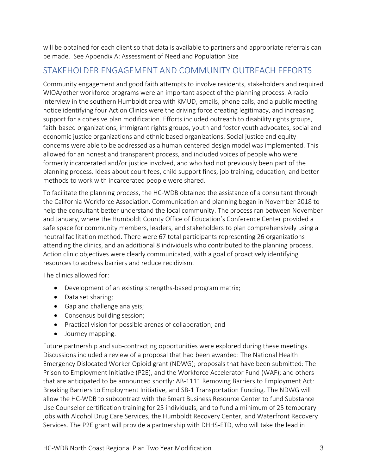will be obtained for each client so that data is available to partners and appropriate referrals can be made. See Appendix A: Assessment of Need and Population Size

# STAKEHOLDER ENGAGEMENT AND COMMUNITY OUTREACH EFFORTS

Community engagement and good faith attempts to involve residents, stakeholders and required WIOA/other workforce programs were an important aspect of the planning process. A radio interview in the southern Humboldt area with KMUD, emails, phone calls, and a public meeting notice identifying four Action Clinics were the driving force creating legitimacy, and increasing support for a cohesive plan modification. Efforts included outreach to disability rights groups, faith-based organizations, immigrant rights groups, youth and foster youth advocates, social and economic justice organizations and ethnic based organizations. Social justice and equity concerns were able to be addressed as a human centered design model was implemented. This allowed for an honest and transparent process, and included voices of people who were formerly incarcerated and/or justice involved, and who had not previously been part of the planning process. Ideas about court fees, child support fines, job training, education, and better methods to work with incarcerated people were shared.

To facilitate the planning process, the HC-WDB obtained the assistance of a consultant through the California Workforce Association. Communication and planning began in November 2018 to help the consultant better understand the local community. The process ran between November and January, where the Humboldt County Office of Education's Conference Center provided a safe space for community members, leaders, and stakeholders to plan comprehensively using a neutral facilitation method. There were 67 total participants representing 26 organizations attending the clinics, and an additional 8 individuals who contributed to the planning process. Action clinic objectives were clearly communicated, with a goal of proactively identifying resources to address barriers and reduce recidivism.

The clinics allowed for:

- Development of an existing strengths-based program matrix;
- Data set sharing;
- Gap and challenge analysis;
- Consensus building session;
- Practical vision for possible arenas of collaboration; and
- Journey mapping.

Future partnership and sub-contracting opportunities were explored during these meetings. Discussions included a review of a proposal that had been awarded: The National Health Emergency Dislocated Worker Opioid grant (NDWG); proposals that have been submitted: The Prison to Employment Initiative (P2E), and the Workforce Accelerator Fund (WAF); and others that are anticipated to be announced shortly: AB-1111 Removing Barriers to Employment Act: Breaking Barriers to Employment Initiative, and SB-1 Transportation Funding. The NDWG will allow the HC-WDB to subcontract with the Smart Business Resource Center to fund Substance Use Counselor certification training for 25 individuals, and to fund a minimum of 25 temporary jobs with Alcohol Drug Care Services, the Humboldt Recovery Center, and Waterfront Recovery Services. The P2E grant will provide a partnership with DHHS-ETD, who will take the lead in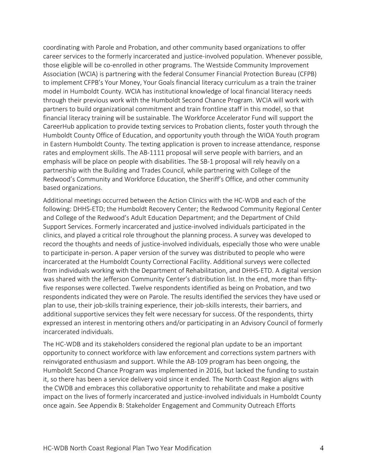coordinating with Parole and Probation, and other community based organizations to offer career services to the formerly incarcerated and justice-involved population. Whenever possible, those eligible will be co-enrolled in other programs. The Westside Community Improvement Association (WCIA) is partnering with the federal Consumer Financial Protection Bureau (CFPB) to implement CFPB's Your Money, Your Goals financial literacy curriculum as a train the trainer model in Humboldt County. WCIA has institutional knowledge of local financial literacy needs through their previous work with the Humboldt Second Chance Program. WCIA will work with partners to build organizational commitment and train frontline staff in this model, so that financial literacy training will be sustainable. The Workforce Accelerator Fund will support the CareerHub application to provide texting services to Probation clients, foster youth through the Humboldt County Office of Education, and opportunity youth through the WIOA Youth program in Eastern Humboldt County. The texting application is proven to increase attendance, response rates and employment skills. The AB-1111 proposal will serve people with barriers, and an emphasis will be place on people with disabilities. The SB-1 proposal will rely heavily on a partnership with the Building and Trades Council, while partnering with College of the Redwood's Community and Workforce Education, the Sheriff's Office, and other community based organizations.

Additional meetings occurred between the Action Clinics with the HC-WDB and each of the following: DHHS-ETD; the Humboldt Recovery Center; the Redwood Community Regional Center and College of the Redwood's Adult Education Department; and the Department of Child Support Services. Formerly incarcerated and justice-involved individuals participated in the clinics, and played a critical role throughout the planning process. A survey was developed to record the thoughts and needs of justice-involved individuals, especially those who were unable to participate in-person. A paper version of the survey was distributed to people who were incarcerated at the Humboldt County Correctional Facility. Additional surveys were collected from individuals working with the Department of Rehabilitation, and DHHS-ETD. A digital version was shared with the Jefferson Community Center's distribution list. In the end, more than fiftyfive responses were collected. Twelve respondents identified as being on Probation, and two respondents indicated they were on Parole. The results identified the services they have used or plan to use, their job-skills training experience, their job-skills interests, their barriers, and additional supportive services they felt were necessary for success. Of the respondents, thirty expressed an interest in mentoring others and/or participating in an Advisory Council of formerly incarcerated individuals.

The HC-WDB and its stakeholders considered the regional plan update to be an important opportunity to connect workforce with law enforcement and corrections system partners with reinvigorated enthusiasm and support. While the AB-109 program has been ongoing, the Humboldt Second Chance Program was implemented in 2016, but lacked the funding to sustain it, so there has been a service delivery void since it ended. The North Coast Region aligns with the CWDB and embraces this collaborative opportunity to rehabilitate and make a positive impact on the lives of formerly incarcerated and justice-involved individuals in Humboldt County once again. See Appendix B: Stakeholder Engagement and Community Outreach Efforts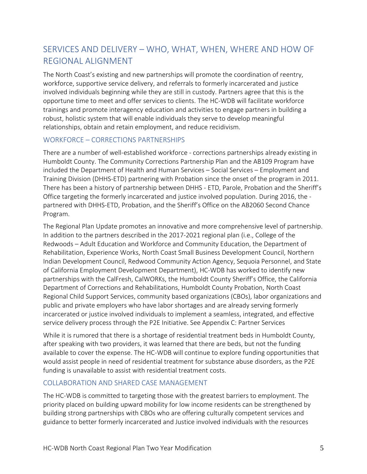# SERVICES AND DELIVERY – WHO, WHAT, WHEN, WHERE AND HOW OF REGIONAL ALIGNMENT

The North Coast's existing and new partnerships will promote the coordination of reentry, workforce, supportive service delivery, and referrals to formerly incarcerated and justice involved individuals beginning while they are still in custody. Partners agree that this is the opportune time to meet and offer services to clients. The HC-WDB will facilitate workforce trainings and promote interagency education and activities to engage partners in building a robust, holistic system that will enable individuals they serve to develop meaningful relationships, obtain and retain employment, and reduce recidivism.

# WORKFORCE – CORRECTIONS PARTNERSHIPS

There are a number of well-established workforce - corrections partnerships already existing in Humboldt County. The Community Corrections Partnership Plan and the AB109 Program have included the Department of Health and Human Services – Social Services – Employment and Training Division (DHHS-ETD) partnering with Probation since the onset of the program in 2011. There has been a history of partnership between DHHS - ETD, Parole, Probation and the Sheriff's Office targeting the formerly incarcerated and justice involved population. During 2016, the partnered with DHHS-ETD, Probation, and the Sheriff's Office on the AB2060 Second Chance Program.

The Regional Plan Update promotes an innovative and more comprehensive level of partnership. In addition to the partners described in the 2017-2021 regional plan (i.e., College of the Redwoods – Adult Education and Workforce and Community Education, the Department of Rehabilitation, Experience Works, North Coast Small Business Development Council, Northern Indian Development Council, Redwood Community Action Agency, Sequoia Personnel, and State of California Employment Development Department), HC-WDB has worked to identify new partnerships with the CalFresh, CalWORKs, the Humboldt County Sheriff's Office, the California Department of Corrections and Rehabilitations, Humboldt County Probation, North Coast Regional Child Support Services, community based organizations (CBOs), labor organizations and public and private employers who have labor shortages and are already serving formerly incarcerated or justice involved individuals to implement a seamless, integrated, and effective service delivery process through the P2E Initiative. See Appendix C: Partner Services

While it is rumored that there is a shortage of residential treatment beds in Humboldt County, after speaking with two providers, it was learned that there are beds, but not the funding available to cover the expense. The HC-WDB will continue to explore funding opportunities that would assist people in need of residential treatment for substance abuse disorders, as the P2E funding is unavailable to assist with residential treatment costs.

# COLLABORATION AND SHARED CASE MANAGEMENT

The HC-WDB is committed to targeting those with the greatest barriers to employment. The priority placed on building upward mobility for low income residents can be strengthened by building strong partnerships with CBOs who are offering culturally competent services and guidance to better formerly incarcerated and Justice involved individuals with the resources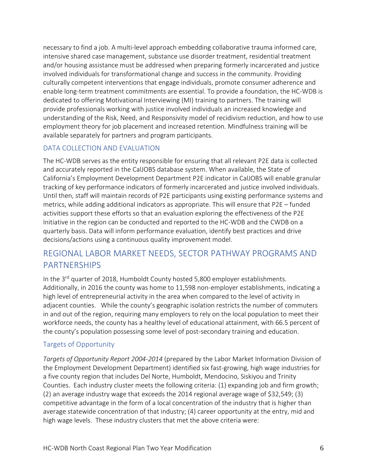necessary to find a job. A multi-level approach embedding collaborative trauma informed care, intensive shared case management, substance use disorder treatment, residential treatment and/or housing assistance must be addressed when preparing formerly incarcerated and justice involved individuals for transformational change and success in the community. Providing culturally competent interventions that engage individuals, promote consumer adherence and enable long-term treatment commitments are essential. To provide a foundation, the HC-WDB is dedicated to offering Motivational Interviewing (MI) training to partners. The training will provide professionals working with justice involved individuals an increased knowledge and understanding of the Risk, Need, and Responsivity model of recidivism reduction, and how to use employment theory for job placement and increased retention. Mindfulness training will be available separately for partners and program participants.

# DATA COLLECTION AND EVALUATION

The HC-WDB serves as the entity responsible for ensuring that all relevant P2E data is collected and accurately reported in the CalJOBS database system. When available, the State of California's Employment Development Department P2E indicator in CalJOBS will enable granular tracking of key performance indicators of formerly incarcerated and justice involved individuals. Until then, staff will maintain records of P2E participants using existing performance systems and metrics, while adding additional indicators as appropriate. This will ensure that P2E – funded activities support these efforts so that an evaluation exploring the effectiveness of the P2E Initiative in the region can be conducted and reported to the HC-WDB and the CWDB on a quarterly basis. Data will inform performance evaluation, identify best practices and drive decisions/actions using a continuous quality improvement model.

# REGIONAL LABOR MARKET NEEDS, SECTOR PATHWAY PROGRAMS AND PARTNERSHIPS

In the 3<sup>rd</sup> quarter of 2018, Humboldt County hosted 5,800 employer establishments. Additionally, in 2016 the county was home to 11,598 non-employer establishments, indicating a high level of entrepreneurial activity in the area when compared to the level of activity in adjacent counties. While the county's geographic isolation restricts the number of commuters in and out of the region, requiring many employers to rely on the local population to meet their workforce needs, the county has a healthy level of educational attainment, with 66.5 percent of the county's population possessing some level of post-secondary training and education.

# Targets of Opportunity

*Targets of Opportunity Report 2004-2014* (prepared by the Labor Market Information Division of the Employment Development Department) identified six fast-growing, high wage industries for a five county region that includes Del Norte, Humboldt, Mendocino, Siskiyou and Trinity Counties. Each industry cluster meets the following criteria: (1) expanding job and firm growth; (2) an average industry wage that exceeds the 2014 regional average wage of \$32,549; (3) competitive advantage in the form of a local concentration of the industry that is higher than average statewide concentration of that industry; (4) career opportunity at the entry, mid and high wage levels. These industry clusters that met the above criteria were: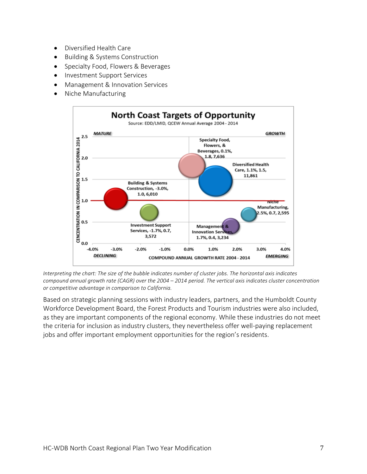- Diversified Health Care
- Building & Systems Construction
- Specialty Food, Flowers & Beverages
- Investment Support Services
- Management & Innovation Services
- Niche Manufacturing



*Interpreting the chart: The size of the bubble indicates number of cluster jobs. The horizontal axis indicates compound annual growth rate (CAGR) over the 2004 – 2014 period. The vertical axis indicates cluster concentration or competitive advantage in comparison to California.*

Based on strategic planning sessions with industry leaders, partners, and the Humboldt County Workforce Development Board, the Forest Products and Tourism industries were also included, as they are important components of the regional economy. While these industries do not meet the criteria for inclusion as industry clusters, they nevertheless offer well-paying replacement jobs and offer important employment opportunities for the region's residents.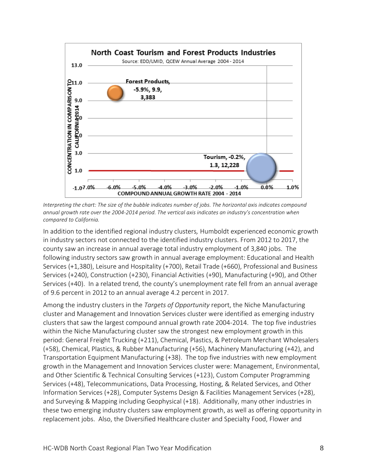

*Interpreting the chart: The size of the bubble indicates number of jobs. The horizontal axis indicates compound annual growth rate over the 2004-2014 period. The vertical axis indicates an industry's concentration when compared to California.* 

In addition to the identified regional industry clusters*,* Humboldt experienced economic growth in industry sectors not connected to the identified industry clusters. From 2012 to 2017, the county saw an increase in annual average total industry employment of 3,840 jobs. The following industry sectors saw growth in annual average employment: Educational and Health Services (+1,380), Leisure and Hospitality (+700), Retail Trade (+660), Professional and Business Services (+240), Construction (+230), Financial Activities (+90), Manufacturing (+90), and Other Services (+40). In a related trend, the county's unemployment rate fell from an annual average of 9.6 percent in 2012 to an annual average 4.2 percent in 2017.

Among the industry clusters in the *Targets of Opportunity* report, the Niche Manufacturing cluster and Management and Innovation Services cluster were identified as emerging industry clusters that saw the largest compound annual growth rate 2004-2014. The top five industries within the Niche Manufacturing cluster saw the strongest new employment growth in this period: General Freight Trucking (+211), Chemical, Plastics, & Petroleum Merchant Wholesalers (+58), Chemical, Plastics, & Rubber Manufacturing (+56), Machinery Manufacturing (+42), and Transportation Equipment Manufacturing (+38). The top five industries with new employment growth in the Management and Innovation Services cluster were: Management, Environmental, and Other Scientific & Technical Consulting Services (+123), Custom Computer Programming Services (+48), Telecommunications, Data Processing, Hosting, & Related Services, and Other Information Services (+28), Computer Systems Design & Facilities Management Services (+28), and Surveying & Mapping including Geophysical (+18). Additionally, many other industries in these two emerging industry clusters saw employment growth, as well as offering opportunity in replacement jobs. Also, the Diversified Healthcare cluster and Specialty Food, Flower and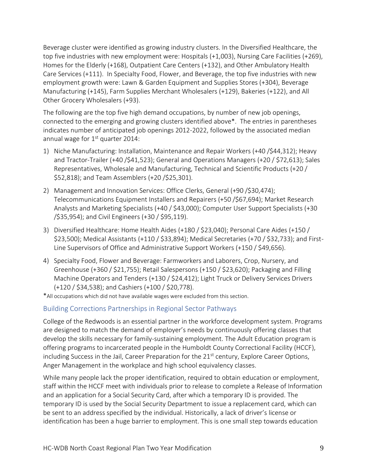Beverage cluster were identified as growing industry clusters. In the Diversified Healthcare, the top five industries with new employment were: Hospitals (+1,003), Nursing Care Facilities (+269), Homes for the Elderly (+168), Outpatient Care Centers (+132), and Other Ambulatory Health Care Services (+111). In Specialty Food, Flower, and Beverage, the top five industries with new employment growth were: Lawn & Garden Equipment and Supplies Stores (+304), Beverage Manufacturing (+145), Farm Supplies Merchant Wholesalers (+129), Bakeries (+122), and All Other Grocery Wholesalers (+93).

The following are the top five high demand occupations, by number of new job openings, connected to the emerging and growing clusters identified above\*. The entries in parentheses indicates number of anticipated job openings 2012-2022, followed by the associated median annual wage for 1<sup>st</sup> quarter 2014:

- 1) Niche Manufacturing: Installation, Maintenance and Repair Workers (+40 /\$44,312); Heavy and Tractor-Trailer (+40 /\$41,523); General and Operations Managers (+20 / \$72,613); Sales Representatives, Wholesale and Manufacturing, Technical and Scientific Products (+20 / \$52,818); and Team Assemblers (+20 /\$25,301).
- 2) Management and Innovation Services: Office Clerks, General (+90 /\$30,474); Telecommunications Equipment Installers and Repairers (+50 /\$67,694); Market Research Analysts and Marketing Specialists (+40 / \$43,000); Computer User Support Specialists (+30 /\$35,954); and Civil Engineers (+30 / \$95,119).
- 3) Diversified Healthcare: Home Health Aides (+180 / \$23,040); Personal Care Aides (+150 / \$23,500); Medical Assistants (+110 / \$33,894); Medical Secretaries (+70 / \$32,733); and First-Line Supervisors of Office and Administrative Support Workers (+150 / \$49,656).
- 4) Specialty Food, Flower and Beverage: Farmworkers and Laborers, Crop, Nursery, and Greenhouse (+360 / \$21,755); Retail Salespersons (+150 / \$23,620); Packaging and Filling Machine Operators and Tenders (+130 / \$24,412); Light Truck or Delivery Services Drivers (+120 / \$34,538); and Cashiers (+100 / \$20,778).
- \*All occupations which did not have available wages were excluded from this section.

# Building Corrections Partnerships in Regional Sector Pathways

College of the Redwoods is an essential partner in the workforce development system. Programs are designed to match the demand of employer's needs by continuously offering classes that develop the skills necessary for family-sustaining employment. The Adult Education program is offering programs to incarcerated people in the Humboldt County Correctional Facility (HCCF), including Success in the Jail, Career Preparation for the  $21<sup>st</sup>$  century, Explore Career Options, Anger Management in the workplace and high school equivalency classes.

While many people lack the proper identification, required to obtain education or employment, staff within the HCCF meet with individuals prior to release to complete a Release of Information and an application for a Social Security Card, after which a temporary ID is provided. The temporary ID is used by the Social Security Department to issue a replacement card, which can be sent to an address specified by the individual. Historically, a lack of driver's license or identification has been a huge barrier to employment. This is one small step towards education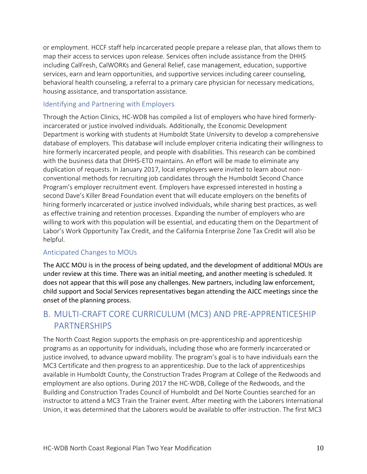or employment. HCCF staff help incarcerated people prepare a release plan, that allows them to map their access to services upon release. Services often include assistance from the DHHS including CalFresh, CalWORKs and General Relief, case management, education, supportive services, earn and learn opportunities, and supportive services including career counseling, behavioral health counseling, a referral to a primary care physician for necessary medications, housing assistance, and transportation assistance.

# Identifying and Partnering with Employers

Through the Action Clinics, HC-WDB has compiled a list of employers who have hired formerlyincarcerated or justice involved individuals. Additionally, the Economic Development Department is working with students at Humboldt State University to develop a comprehensive database of employers. This database will include employer criteria indicating their willingness to hire formerly incarcerated people, and people with disabilities. This research can be combined with the business data that DHHS-ETD maintains. An effort will be made to eliminate any duplication of requests. In January 2017, local employers were invited to learn about nonconventional methods for recruiting job candidates through the Humboldt Second Chance Program's employer recruitment event. Employers have expressed interested in hosting a second Dave's Killer Bread Foundation event that will educate employers on the benefits of hiring formerly incarcerated or justice involved individuals, while sharing best practices, as well as effective training and retention processes. Expanding the number of employers who are willing to work with this population will be essential, and educating them on the Department of Labor's Work Opportunity Tax Credit, and the California Enterprise Zone Tax Credit will also be helpful.

# Anticipated Changes to MOUs

The AJCC MOU is in the process of being updated, and the development of additional MOUs are under review at this time. There was an initial meeting, and another meeting is scheduled. It does not appear that this will pose any challenges. New partners, including law enforcement, child support and Social Services representatives began attending the AJCC meetings since the onset of the planning process.

# B. MULTI-CRAFT CORE CURRICULUM (MC3) AND PRE-APPRENTICESHIP PARTNERSHIPS

The North Coast Region supports the emphasis on pre-apprenticeship and apprenticeship programs as an opportunity for individuals, including those who are formerly incarcerated or justice involved, to advance upward mobility. The program's goal is to have individuals earn the MC3 Certificate and then progress to an apprenticeship. Due to the lack of apprenticeships available in Humboldt County, the Construction Trades Program at College of the Redwoods and employment are also options. During 2017 the HC-WDB, College of the Redwoods, and the Building and Construction Trades Council of Humboldt and Del Norte Counties searched for an instructor to attend a MC3 Train the Trainer event. After meeting with the Laborers International Union, it was determined that the Laborers would be available to offer instruction. The first MC3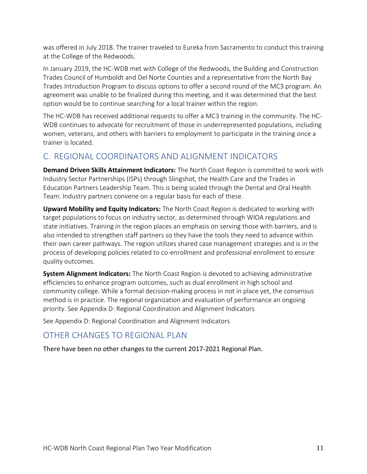was offered in July 2018. The trainer traveled to Eureka from Sacramento to conduct this training at the College of the Redwoods.

In January 2019, the HC-WDB met with College of the Redwoods, the Building and Construction Trades Council of Humboldt and Del Norte Counties and a representative from the North Bay Trades Introduction Program to discuss options to offer a second round of the MC3 program. An agreement was unable to be finalized during this meeting, and it was determined that the best option would be to continue searching for a local trainer within the region.

The HC-WDB has received additional requests to offer a MC3 training in the community. The HC-WDB continues to advocate for recruitment of those in underrepresented populations, including women, veterans, and others with barriers to employment to participate in the training once a trainer is located.

# C. REGIONAL COORDINATORS AND ALIGNMENT INDICATORS

**Demand Driven Skills Attainment Indicators:** The North Coast Region is committed to work with Industry Sector Partnerships (ISPs) through Slingshot, the Health Care and the Trades in Education Partners Leadership Team. This is being scaled through the Dental and Oral Health Team. Industry partners convene on a regular basis for each of these.

**Upward Mobility and Equity Indicators:** The North Coast Region is dedicated to working with target populations to focus on industry sector, as determined through WIOA regulations and state initiatives. Training in the region places an emphasis on serving those with barriers, and is also intended to strengthen staff partners so they have the tools they need to advance within their own career pathways. The region utilizes shared case management strategies and is in the process of developing policies related to co-enrollment and professional enrollment to ensure quality outcomes.

**System Alignment Indicators:** The North Coast Region is devoted to achieving administrative efficiencies to enhance program outcomes, such as dual enrollment in high school and community college. While a formal decision-making process in not in place yet, the consensus method is in practice. The regional organization and evaluation of performance an ongoing priority. See Appendix D: Regional Coordination and Alignment Indicators

See Appendix D: Regional Coordination and Alignment Indicators

# OTHER CHANGES TO REGIONAL PLAN

There have been no other changes to the current 2017-2021 Regional Plan.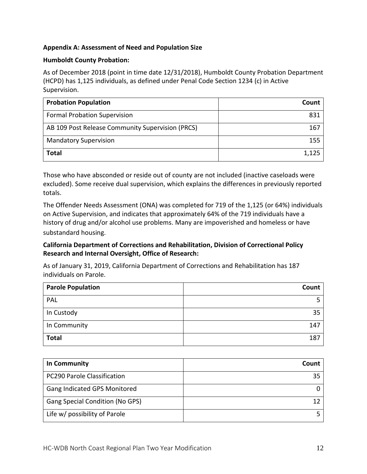## **Appendix A: Assessment of Need and Population Size**

#### **Humboldt County Probation:**

As of December 2018 (point in time date 12/31/2018), Humboldt County Probation Department (HCPD) has 1,125 individuals, as defined under Penal Code Section 1234 (c) in Active Supervision.

| <b>Probation Population</b>                      | Count |
|--------------------------------------------------|-------|
| <b>Formal Probation Supervision</b>              | 831   |
| AB 109 Post Release Community Supervision (PRCS) | 167   |
| <b>Mandatory Supervision</b>                     | 155   |
| <b>Total</b>                                     | 1.125 |

Those who have absconded or reside out of county are not included (inactive caseloads were excluded). Some receive dual supervision, which explains the differences in previously reported totals.

The Offender Needs Assessment (ONA) was completed for 719 of the 1,125 (or 64%) individuals on Active Supervision, and indicates that approximately 64% of the 719 individuals have a history of drug and/or alcohol use problems. Many are impoverished and homeless or have substandard housing.

# **California Department of Corrections and Rehabilitation, Division of Correctional Policy Research and Internal Oversight, Office of Research:**

As of January 31, 2019, California Department of Corrections and Rehabilitation has 187 individuals on Parole.

| <b>Parole Population</b> | Count |
|--------------------------|-------|
| PAL                      |       |
| In Custody               | 35    |
| In Community             | 147   |
| <b>Total</b>             | 187   |

| In Community                           | Count |
|----------------------------------------|-------|
| <b>PC290 Parole Classification</b>     | 35    |
| Gang Indicated GPS Monitored           |       |
| <b>Gang Special Condition (No GPS)</b> |       |
| Life w/ possibility of Parole          |       |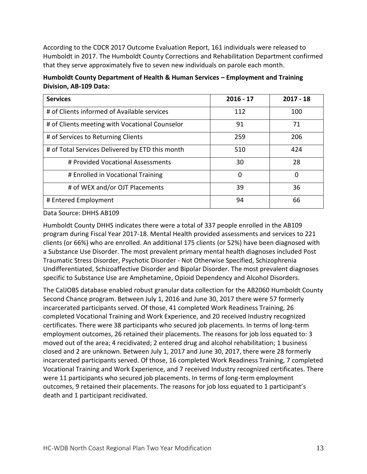According to the CDCR 2017 Outcome Evaluation Report, 161 individuals were released to Humboldt in 2017. The Humboldt County Corrections and Rehabilitation Department confirmed that they serve approximately five to seven new individuals on parole each month.

| <b>Services</b>                                 | $2016 - 17$ | $2017 - 18$ |
|-------------------------------------------------|-------------|-------------|
| # of Clients informed of Available services     | 112         | 100         |
| # of Clients meeting with Vocational Counselor  | 91          | 71          |
| # of Services to Returning Clients              | 259         | 206         |
| # of Total Services Delivered by ETD this month | 510         | 424         |
| # Provided Vocational Assessments               | 30          | 28          |
| # Enrolled in Vocational Training               | 0           | 0           |
| # of WEX and/or OJT Placements                  | 39          | 36          |
| # Entered Employment                            | 94          | 66          |

**Humboldt County Department of Health & Human Services – Employment and Training Division, AB-109 Data:**

Data Source: DHHS AB109

Humboldt County DHHS indicates there were a total of 337 people enrolled in the AB109 program during Fiscal Year 2017-18. Mental Health provided assessments and services to 221 clients (or 66%) who are enrolled. An additional 175 clients (or 52%) have been diagnosed with a Substance Use Disorder. The most prevalent primary mental health diagnoses included Post Traumatic Stress Disorder, Psychotic Disorder - Not Otherwise Specified, Schizophrenia Undifferentiated, Schizoaffective Disorder and Bipolar Disorder. The most prevalent diagnoses specific to Substance Use are Amphetamine, Opioid Dependency and Alcohol Disorders.

The CalJOBS database enabled robust granular data collection for the AB2060 Humboldt County Second Chance program. Between July 1, 2016 and June 30, 2017 there were 57 formerly incarcerated participants served. Of those, 41 completed Work Readiness Training, 26 completed Vocational Training and Work Experience, and 20 received Industry recognized certificates. There were 38 participants who secured job placements. In terms of long-term employment outcomes, 26 retained their placements. The reasons for job loss equated to: 3 moved out of the area; 4 recidivated; 2 entered drug and alcohol rehabilitation; 1 business closed and 2 are unknown. Between July 1, 2017 and June 30, 2017, there were 28 formerly incarcerated participants served. Of those, 16 completed Work Readiness Training, 7 completed Vocational Training and Work Experience, and 7 received Industry recognized certificates. There were 11 participants who secured job placements. In terms of long-term employment outcomes, 9 retained their placements. The reasons for job loss equated to 1 participant's death and 1 participant recidivated.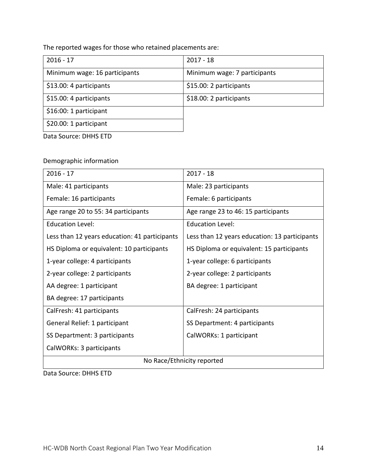The reported wages for those who retained placements are:

| $2016 - 17$                   | $2017 - 18$                  |
|-------------------------------|------------------------------|
| Minimum wage: 16 participants | Minimum wage: 7 participants |
| \$13.00: 4 participants       | \$15.00: 2 participants      |
| \$15.00: 4 participants       | \$18.00: 2 participants      |
| \$16:00: 1 participant        |                              |
| \$20.00: 1 participant        |                              |

Data Source: DHHS ETD

# Demographic information

| $2016 - 17$                                   | $2017 - 18$                                   |  |  |
|-----------------------------------------------|-----------------------------------------------|--|--|
| Male: 41 participants                         | Male: 23 participants                         |  |  |
| Female: 16 participants                       | Female: 6 participants                        |  |  |
| Age range 20 to 55: 34 participants           | Age range 23 to 46: 15 participants           |  |  |
| <b>Education Level:</b>                       | <b>Education Level:</b>                       |  |  |
| Less than 12 years education: 41 participants | Less than 12 years education: 13 participants |  |  |
| HS Diploma or equivalent: 10 participants     | HS Diploma or equivalent: 15 participants     |  |  |
| 1-year college: 4 participants                | 1-year college: 6 participants                |  |  |
| 2-year college: 2 participants                | 2-year college: 2 participants                |  |  |
| AA degree: 1 participant                      | BA degree: 1 participant                      |  |  |
| BA degree: 17 participants                    |                                               |  |  |
| CalFresh: 41 participants                     | CalFresh: 24 participants                     |  |  |
| General Relief: 1 participant                 | SS Department: 4 participants                 |  |  |
| SS Department: 3 participants                 | CalWORKs: 1 participant                       |  |  |
| CalWORKs: 3 participants                      |                                               |  |  |
| No Race/Ethnicity reported                    |                                               |  |  |

Data Source: DHHS ETD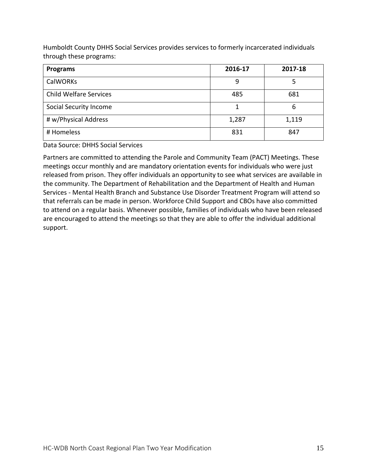Humboldt County DHHS Social Services provides services to formerly incarcerated individuals through these programs:

| <b>Programs</b>               | 2016-17 | 2017-18 |
|-------------------------------|---------|---------|
| <b>CalWORKs</b>               | 9       |         |
| <b>Child Welfare Services</b> | 485     | 681     |
| Social Security Income        |         | 6       |
| # w/Physical Address          | 1,287   | 1,119   |
| # Homeless                    | 831     | 847     |

Data Source: DHHS Social Services

Partners are committed to attending the Parole and Community Team (PACT) Meetings. These meetings occur monthly and are mandatory orientation events for individuals who were just released from prison. They offer individuals an opportunity to see what services are available in the community. The Department of Rehabilitation and the Department of Health and Human Services - Mental Health Branch and Substance Use Disorder Treatment Program will attend so that referrals can be made in person. Workforce Child Support and CBOs have also committed to attend on a regular basis. Whenever possible, families of individuals who have been released are encouraged to attend the meetings so that they are able to offer the individual additional support.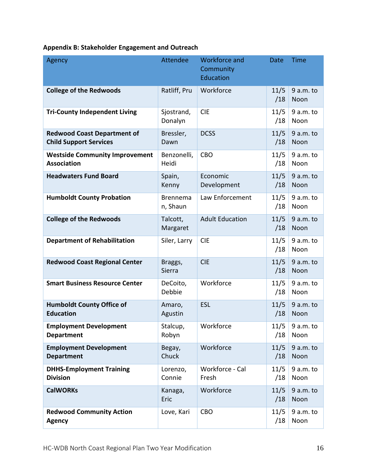| <b>Appendix B: Stakeholder Engagement and Outreach</b> |  |  |
|--------------------------------------------------------|--|--|
|--------------------------------------------------------|--|--|

| Agency                                                              | Attendee                    | <b>Workforce and</b><br>Community<br>Education | Date        | <b>Time</b>         |
|---------------------------------------------------------------------|-----------------------------|------------------------------------------------|-------------|---------------------|
| <b>College of the Redwoods</b>                                      | Ratliff, Pru                | Workforce                                      | 11/5<br>/18 | 9a.m.to<br>Noon     |
| <b>Tri-County Independent Living</b>                                | Sjostrand,<br>Donalyn       | <b>CIE</b>                                     | 11/5<br>/18 | 9a.m.to<br>Noon     |
| <b>Redwood Coast Department of</b><br><b>Child Support Services</b> | Bressler,<br>Dawn           | <b>DCSS</b>                                    | 11/5<br>/18 | 9a.m.to<br>Noon     |
| <b>Westside Community Improvement</b><br><b>Association</b>         | Benzonelli,<br>Heidi        | <b>CBO</b>                                     | 11/5<br>/18 | 9a.m.to<br>Noon     |
| <b>Headwaters Fund Board</b>                                        | Spain,<br>Kenny             | Economic<br>Development                        | 11/5<br>/18 | 9a.m.to<br>Noon     |
| <b>Humboldt County Probation</b>                                    | <b>Brennema</b><br>n, Shaun | Law Enforcement                                | 11/5<br>/18 | 9a.m.to<br>Noon     |
| <b>College of the Redwoods</b>                                      | Talcott,<br>Margaret        | <b>Adult Education</b>                         | 11/5<br>/18 | 9a.m.to<br>Noon     |
| <b>Department of Rehabilitation</b>                                 | Siler, Larry                | <b>CIE</b>                                     | 11/5<br>/18 | 9a.m.to<br>Noon     |
| <b>Redwood Coast Regional Center</b>                                | Braggs,<br>Sierra           | <b>CIE</b>                                     | 11/5<br>/18 | 9a.m.to<br>Noon     |
| <b>Smart Business Resource Center</b>                               | DeCoito,<br>Debbie          | Workforce                                      | 11/5<br>/18 | 9a.m.to<br>Noon     |
| <b>Humboldt County Office of</b><br><b>Education</b>                | Amaro,<br>Agustin           | <b>ESL</b>                                     | 11/5<br>/18 | 9a.m.to<br>Noon     |
| <b>Employment Development</b><br><b>Department</b>                  | Stalcup,<br>Robyn           | Workforce                                      | 11/5<br>/18 | $9$ a.m. to<br>Noon |
| <b>Employment Development</b><br><b>Department</b>                  | Begay,<br>Chuck             | Workforce                                      | 11/5<br>/18 | 9 a.m. to<br>Noon   |
| <b>DHHS-Employment Training</b><br><b>Division</b>                  | Lorenzo,<br>Connie          | Workforce - Cal<br>Fresh                       | 11/5<br>/18 | 9 a.m. to<br>Noon   |
| <b>CalWORKs</b>                                                     | Kanaga,<br>Eric             | Workforce                                      | 11/5<br>/18 | 9 a.m. to<br>Noon   |
| <b>Redwood Community Action</b><br><b>Agency</b>                    | Love, Kari                  | <b>CBO</b>                                     | 11/5<br>/18 | 9 a.m. to<br>Noon   |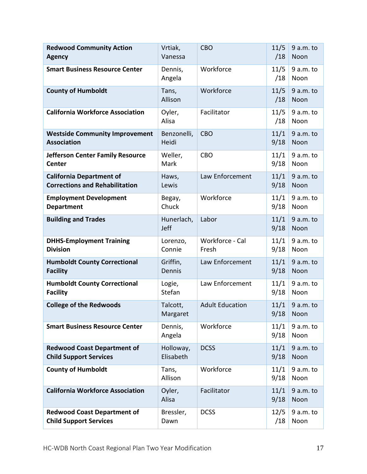| <b>Redwood Community Action</b>         | Vrtiak,              | <b>CBO</b>             | 11/5         | 9 a.m. to           |
|-----------------------------------------|----------------------|------------------------|--------------|---------------------|
| <b>Agency</b>                           | Vanessa              |                        | /18          | Noon                |
| <b>Smart Business Resource Center</b>   | Dennis,<br>Angela    | Workforce              | 11/5<br>/18  | 9a.m.to<br>Noon     |
| <b>County of Humboldt</b>               | Tans,<br>Allison     | Workforce              | 11/5<br>/18  | 9a.m.to<br>Noon     |
| <b>California Workforce Association</b> | Oyler,<br>Alisa      | Facilitator            | 11/5<br>/18  | 9 a.m. to<br>Noon   |
| <b>Westside Community Improvement</b>   | Benzonelli,          | <b>CBO</b>             | 11/1         | 9a.m.to             |
| <b>Association</b>                      | Heidi                |                        | 9/18         | Noon                |
| <b>Jefferson Center Family Resource</b> | Weller,              | <b>CBO</b>             | 11/1         | 9a.m.to             |
| Center                                  | Mark                 |                        | 9/18         | Noon                |
| <b>California Department of</b>         | Haws,                | Law Enforcement        | 11/1         | 9a.m.to             |
| <b>Corrections and Rehabilitation</b>   | Lewis                |                        | 9/18         | Noon                |
| <b>Employment Development</b>           | Begay,               | Workforce              | 11/1         | 9a.m.to             |
| <b>Department</b>                       | Chuck                |                        | 9/18         | Noon                |
| <b>Building and Trades</b>              | Hunerlach,<br>Jeff   | Labor                  | 11/1<br>9/18 | 9a.m.to<br>Noon     |
| <b>DHHS-Employment Training</b>         | Lorenzo,             | Workforce - Cal        | 11/1         | 9a.m.to             |
| <b>Division</b>                         | Connie               | Fresh                  | 9/18         | Noon                |
| <b>Humboldt County Correctional</b>     | Griffin,             | Law Enforcement        | 11/1         | 9a.m.to             |
| <b>Facility</b>                         | Dennis               |                        | 9/18         | Noon                |
| <b>Humboldt County Correctional</b>     | Logie,               | Law Enforcement        | 11/1         | 9a.m.to             |
| <b>Facility</b>                         | Stefan               |                        | 9/18         | Noon                |
| <b>College of the Redwoods</b>          | Talcott,<br>Margaret | <b>Adult Education</b> | 11/1<br>9/18 | 9a.m.to<br>Noon     |
| <b>Smart Business Resource Center</b>   | Dennis,<br>Angela    | Workforce              | 11/1<br>9/18 | 9 a.m. to<br>Noon   |
| <b>Redwood Coast Department of</b>      | Holloway,            | <b>DCSS</b>            | 11/1         | 9 a.m. to           |
| <b>Child Support Services</b>           | Elisabeth            |                        | 9/18         | Noon                |
| <b>County of Humboldt</b>               | Tans,<br>Allison     | Workforce              | 11/1<br>9/18 | $9$ a.m. to<br>Noon |
| <b>California Workforce Association</b> | Oyler,<br>Alisa      | Facilitator            | 11/1<br>9/18 | 9 a.m. to<br>Noon   |
| <b>Redwood Coast Department of</b>      | Bressler,            | <b>DCSS</b>            | 12/5         | 9a.m.to             |
| <b>Child Support Services</b>           | Dawn                 |                        | /18          | Noon                |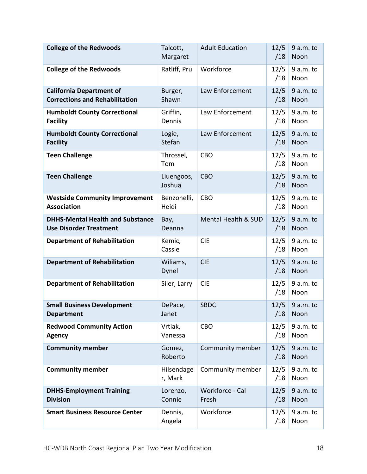| <b>College of the Redwoods</b>                                           | Talcott,<br>Margaret  | <b>Adult Education</b>   | 12/5<br>/18 | 9 a.m. to<br>Noon   |
|--------------------------------------------------------------------------|-----------------------|--------------------------|-------------|---------------------|
| <b>College of the Redwoods</b>                                           | Ratliff, Pru          | Workforce                | 12/5<br>/18 | 9 a.m. to<br>Noon   |
| <b>California Department of</b><br><b>Corrections and Rehabilitation</b> | Burger,<br>Shawn      | Law Enforcement          | 12/5<br>/18 | 9 a.m. to<br>Noon   |
| <b>Humboldt County Correctional</b><br><b>Facility</b>                   | Griffin,<br>Dennis    | Law Enforcement          | 12/5<br>/18 | 9a.m.to<br>Noon     |
| <b>Humboldt County Correctional</b><br><b>Facility</b>                   | Logie,<br>Stefan      | Law Enforcement          | 12/5<br>/18 | 9a.m.to<br>Noon     |
| <b>Teen Challenge</b>                                                    | Throssel,<br>Tom      | <b>CBO</b>               | 12/5<br>/18 | 9a.m.to<br>Noon     |
| <b>Teen Challenge</b>                                                    | Liuengoos,<br>Joshua  | <b>CBO</b>               | 12/5<br>/18 | 9a.m.to<br>Noon     |
| <b>Westside Community Improvement</b><br><b>Association</b>              | Benzonelli,<br>Heidi  | <b>CBO</b>               | 12/5<br>/18 | 9 a.m. to<br>Noon   |
| <b>DHHS-Mental Health and Substance</b><br><b>Use Disorder Treatment</b> | Bay,<br>Deanna        | Mental Health & SUD      | 12/5<br>/18 | 9a.m.to<br>Noon     |
| <b>Department of Rehabilitation</b>                                      | Kemic,<br>Cassie      | <b>CIE</b>               | 12/5<br>/18 | 9 a.m. to<br>Noon   |
| <b>Department of Rehabilitation</b>                                      | Wiliams,<br>Dynel     | <b>CIE</b>               | 12/5<br>/18 | 9a.m.to<br>Noon     |
| <b>Department of Rehabilitation</b>                                      | Siler, Larry          | <b>CIE</b>               | 12/5<br>/18 | 9 a.m. to<br>Noon   |
| <b>Small Business Development</b><br><b>Department</b>                   | DePace,<br>Janet      | <b>SBDC</b>              | 12/5<br>/18 | 9 a.m. to<br>Noon   |
| <b>Redwood Community Action</b><br><b>Agency</b>                         | Vrtiak,<br>Vanessa    | <b>CBO</b>               | 12/5<br>/18 | 9 a.m. to<br>Noon   |
| <b>Community member</b>                                                  | Gomez,<br>Roberto     | Community member         | 12/5<br>/18 | $9$ a.m. to<br>Noon |
| <b>Community member</b>                                                  | Hilsendage<br>r, Mark | Community member         | 12/5<br>/18 | 9a.m.to<br>Noon     |
| <b>DHHS-Employment Training</b><br><b>Division</b>                       | Lorenzo,<br>Connie    | Workforce - Cal<br>Fresh | 12/5<br>/18 | 9a.m.to<br>Noon     |
| <b>Smart Business Resource Center</b>                                    | Dennis,<br>Angela     | Workforce                | 12/5<br>/18 | 9a.m.to<br>Noon     |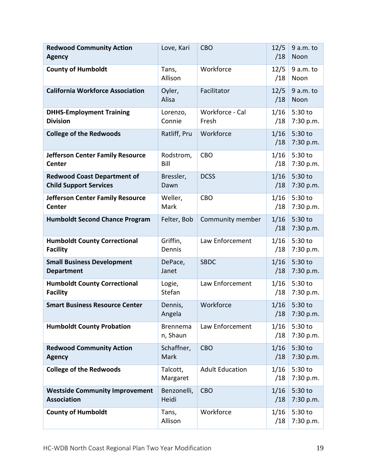| <b>Redwood Community Action</b><br><b>Agency</b> | Love, Kari                  | <b>CBO</b>             | 12/5<br>/18 | $9$ a.m. to<br>Noon  |
|--------------------------------------------------|-----------------------------|------------------------|-------------|----------------------|
| <b>County of Humboldt</b>                        | Tans,<br>Allison            | Workforce              | 12/5<br>/18 | 9 a.m. to<br>Noon    |
| <b>California Workforce Association</b>          | Oyler,<br>Alisa             | Facilitator            | 12/5<br>/18 | 9 a.m. to<br>Noon    |
| <b>DHHS-Employment Training</b>                  | Lorenzo,                    | Workforce - Cal        | 1/16        | 5:30 to              |
| <b>Division</b>                                  | Connie                      | Fresh                  | /18         | 7:30 p.m.            |
| <b>College of the Redwoods</b>                   | Ratliff, Pru                | Workforce              | 1/16<br>/18 | 5:30 to<br>7:30 p.m. |
| <b>Jefferson Center Family Resource</b>          | Rodstrom,                   | <b>CBO</b>             | 1/16        | 5:30 to              |
| <b>Center</b>                                    | Bill                        |                        | /18         | 7:30 p.m.            |
| <b>Redwood Coast Department of</b>               | Bressler,                   | <b>DCSS</b>            | 1/16        | 5:30 to              |
| <b>Child Support Services</b>                    | Dawn                        |                        | /18         | 7:30 p.m.            |
| Jefferson Center Family Resource                 | Weller,                     | <b>CBO</b>             | 1/16        | 5:30 to              |
| <b>Center</b>                                    | Mark                        |                        | /18         | 7:30 p.m.            |
| <b>Humboldt Second Chance Program</b>            | Felter, Bob                 | Community member       | 1/16<br>/18 | 5:30 to<br>7:30 p.m. |
| <b>Humboldt County Correctional</b>              | Griffin,                    | Law Enforcement        | 1/16        | 5:30 to              |
| <b>Facility</b>                                  | Dennis                      |                        | /18         | 7:30 p.m.            |
| <b>Small Business Development</b>                | DePace,                     | <b>SBDC</b>            | 1/16        | 5:30 to              |
| <b>Department</b>                                | Janet                       |                        | /18         | 7:30 p.m.            |
| <b>Humboldt County Correctional</b>              | Logie,                      | Law Enforcement        | 1/16        | 5:30 to              |
| <b>Facility</b>                                  | Stefan                      |                        | /18         | 7:30 p.m.            |
| <b>Smart Business Resource Center</b>            | Dennis,<br>Angela           | Workforce              | 1/16<br>/18 | 5:30 to<br>7:30 p.m. |
| <b>Humboldt County Probation</b>                 | <b>Brennema</b><br>n, Shaun | Law Enforcement        | 1/16<br>/18 | 5:30 to<br>7:30 p.m. |
| <b>Redwood Community Action</b>                  | Schaffner,                  | <b>CBO</b>             | 1/16        | 5:30 to              |
| <b>Agency</b>                                    | <b>Mark</b>                 |                        | /18         | 7:30 p.m.            |
| <b>College of the Redwoods</b>                   | Talcott,<br>Margaret        | <b>Adult Education</b> | 1/16<br>/18 | 5:30 to<br>7:30 p.m. |
| <b>Westside Community Improvement</b>            | Benzonelli,                 | <b>CBO</b>             | 1/16        | 5:30 to              |
| <b>Association</b>                               | Heidi                       |                        | /18         | 7:30 p.m.            |
| <b>County of Humboldt</b>                        | Tans,<br>Allison            | Workforce              | 1/16<br>/18 | 5:30 to<br>7:30 p.m. |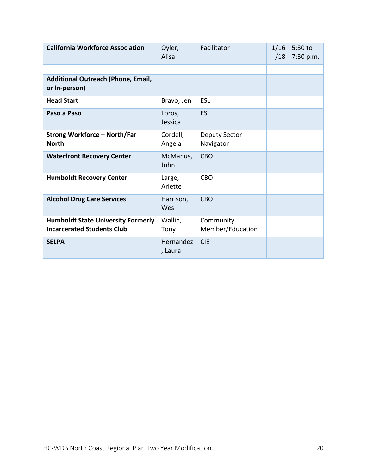| <b>California Workforce Association</b>                                        | Oyler,<br>Alisa      | Facilitator                       | 1/16<br>/18 | 5:30 to<br>7:30 p.m. |
|--------------------------------------------------------------------------------|----------------------|-----------------------------------|-------------|----------------------|
|                                                                                |                      |                                   |             |                      |
| <b>Additional Outreach (Phone, Email,</b><br>or In-person)                     |                      |                                   |             |                      |
| <b>Head Start</b>                                                              | Bravo, Jen           | <b>ESL</b>                        |             |                      |
| Paso a Paso                                                                    | Loros,<br>Jessica    | <b>ESL</b>                        |             |                      |
| <b>Strong Workforce - North/Far</b><br><b>North</b>                            | Cordell,<br>Angela   | <b>Deputy Sector</b><br>Navigator |             |                      |
| <b>Waterfront Recovery Center</b>                                              | McManus,<br>John     | <b>CBO</b>                        |             |                      |
| <b>Humboldt Recovery Center</b>                                                | Large,<br>Arlette    | <b>CBO</b>                        |             |                      |
| <b>Alcohol Drug Care Services</b>                                              | Harrison,<br>Wes     | <b>CBO</b>                        |             |                      |
| <b>Humboldt State University Formerly</b><br><b>Incarcerated Students Club</b> | Wallin,<br>Tony      | Community<br>Member/Education     |             |                      |
| <b>SELPA</b>                                                                   | Hernandez<br>, Laura | <b>CIE</b>                        |             |                      |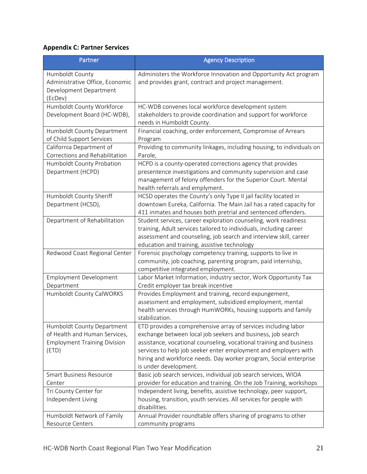# **Appendix C: Partner Services**

| Partner                                                                                                     | <b>Agency Description</b>                                                                                                                                                                                                                                                                                                                                             |
|-------------------------------------------------------------------------------------------------------------|-----------------------------------------------------------------------------------------------------------------------------------------------------------------------------------------------------------------------------------------------------------------------------------------------------------------------------------------------------------------------|
| Humboldt County<br>Administrative Office, Economic<br>Development Department<br>(EcDev)                     | Administers the Workforce Innovation and Opportunity Act program<br>and provides grant, contract and project management.                                                                                                                                                                                                                                              |
| Humboldt County Workforce<br>Development Board (HC-WDB),                                                    | HC-WDB convenes local workforce development system<br>stakeholders to provide coordination and support for workforce<br>needs in Humboldt County.                                                                                                                                                                                                                     |
| Humboldt County Department<br>of Child Support Services                                                     | Financial coaching, order enforcement, Compromise of Arrears<br>Program                                                                                                                                                                                                                                                                                               |
| California Department of<br>Corrections and Rehabilitation                                                  | Providing to community linkages, including housing, to individuals on<br>Parole,                                                                                                                                                                                                                                                                                      |
| Humboldt County Probation<br>Department (HCPD)                                                              | HCPD is a county-operated corrections agency that provides<br>presentence investigations and community supervision and case<br>management of felony offenders for the Superior Court. Mental<br>health referrals and emplyment.                                                                                                                                       |
| Humboldt County Sheriff<br>Department (HCSD),                                                               | HCSD operates the County's only Type II jail facility located in<br>downtown Eureka, California. The Main Jail has a rated capacity for<br>411 inmates and houses both pretrial and sentenced offenders.                                                                                                                                                              |
| Department of Rehabilitation                                                                                | Student services, career exploration counseling, work readiness<br>training, Adult services tailored to individuals, including career<br>assessment and counseling, job search and interview skill, career<br>education and training, assistive technology                                                                                                            |
| Redwood Coast Regional Center                                                                               | Forensic psychology competency training, supports to live in<br>community, job coaching, parenting program, paid internship,<br>competitive integrated employment.                                                                                                                                                                                                    |
| <b>Employment Development</b><br>Department                                                                 | Labor Market Information, industry sector, Work Opportunity Tax<br>Credit employer tax break incentive                                                                                                                                                                                                                                                                |
| Humboldt County CalWORKS                                                                                    | Provides Employment and training, record expungement,<br>assessment and employment, subsidized employment, mental<br>health services through HumWORKs, housing supports and family<br>stabilization.                                                                                                                                                                  |
| Humboldt County Department<br>of Health and Human Services,<br><b>Employment Training Division</b><br>(ETD) | ETD provides a comprehensive array of services including labor<br>exchange between local job seekers and business, job search<br>assistance, vocational counseling, vocational training and business<br>services to help job seeker enter employment and employers with<br>hiring and workforce needs. Day worker program, Social enterprise<br>is under development. |
| <b>Smart Business Resource</b><br>Center                                                                    | Basic job search services, individual job search services, WIOA<br>provider for education and training. On the Job Training, workshops                                                                                                                                                                                                                                |
| Tri County Center for<br>Independent Living                                                                 | Independent living, benefits, assistive technology, peer support,<br>housing, transition, youth services. All services for people with<br>disabilities.                                                                                                                                                                                                               |
| Humboldt Network of Family<br>Resource Centers                                                              | Annual Provider roundtable offers sharing of programs to other<br>community programs                                                                                                                                                                                                                                                                                  |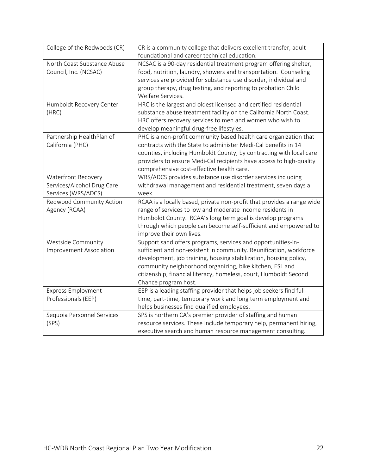| College of the Redwoods (CR)   | CR is a community college that delivers excellent transfer, adult      |
|--------------------------------|------------------------------------------------------------------------|
|                                | foundational and career technical education.                           |
| North Coast Substance Abuse    | NCSAC is a 90-day residential treatment program offering shelter,      |
| Council, Inc. (NCSAC)          | food, nutrition, laundry, showers and transportation. Counseling       |
|                                | services are provided for substance use disorder, individual and       |
|                                | group therapy, drug testing, and reporting to probation Child          |
|                                | Welfare Services.                                                      |
| Humboldt Recovery Center       | HRC is the largest and oldest licensed and certified residential       |
| (HRC)                          | substance abuse treatment facility on the California North Coast.      |
|                                | HRC offers recovery services to men and women who wish to              |
|                                | develop meaningful drug-free lifestyles.                               |
|                                |                                                                        |
| Partnership HealthPlan of      | PHC is a non-profit community based health care organization that      |
| California (PHC)               | contracts with the State to administer Medi-Cal benefits in 14         |
|                                | counties, including Humboldt County, by contracting with local care    |
|                                | providers to ensure Medi-Cal recipients have access to high-quality    |
|                                | comprehensive cost-effective health care.                              |
| <b>Waterfront Recovery</b>     | WRS/ADCS provides substance use disorder services including            |
| Services/Alcohol Drug Care     | withdrawal management and residential treatment, seven days a          |
| Services (WRS/ADCS)            | week.                                                                  |
| Redwood Community Action       | RCAA is a locally based, private non-profit that provides a range wide |
| Agency (RCAA)                  | range of services to low and moderate income residents in              |
|                                | Humboldt County. RCAA's long term goal is develop programs             |
|                                | through which people can become self-sufficient and empowered to       |
|                                | improve their own lives.                                               |
| Westside Community             | Support sand offers programs, services and opportunities-in-           |
| <b>Improvement Association</b> | sufficient and non-existent in community. Reunification, workforce     |
|                                | development, job training, housing stabilization, housing policy,      |
|                                |                                                                        |
|                                | community neighborhood organizing, bike kitchen, ESL and               |
|                                | citizenship, financial literacy, homeless, court, Humboldt Second      |
|                                | Chance program host.                                                   |
| <b>Express Employment</b>      | EEP is a leading staffing provider that helps job seekers find full-   |
| Professionals (EEP)            | time, part-time, temporary work and long term employment and           |
|                                | helps businesses find qualified employees.                             |
| Sequoia Personnel Services     | SPS is northern CA's premier provider of staffing and human            |
| (SPS)                          | resource services. These include temporary help, permanent hiring,     |
|                                | executive search and human resource management consulting.             |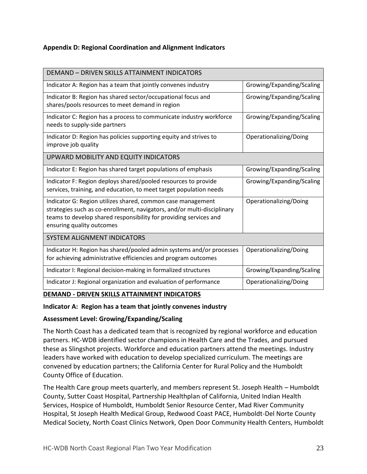# **Appendix D: Regional Coordination and Alignment Indicators**

| DEMAND - DRIVEN SKILLS ATTAINMENT INDICATORS                                                                                                                                                                                             |                           |  |  |  |  |
|------------------------------------------------------------------------------------------------------------------------------------------------------------------------------------------------------------------------------------------|---------------------------|--|--|--|--|
| Indicator A: Region has a team that jointly convenes industry                                                                                                                                                                            | Growing/Expanding/Scaling |  |  |  |  |
| Indicator B: Region has shared sector/occupational focus and<br>shares/pools resources to meet demand in region                                                                                                                          | Growing/Expanding/Scaling |  |  |  |  |
| Indicator C: Region has a process to communicate industry workforce<br>needs to supply-side partners                                                                                                                                     | Growing/Expanding/Scaling |  |  |  |  |
| Indicator D: Region has policies supporting equity and strives to<br>improve job quality                                                                                                                                                 | Operationalizing/Doing    |  |  |  |  |
| UPWARD MOBILITY AND EQUITY INDICATORS                                                                                                                                                                                                    |                           |  |  |  |  |
| Indicator E: Region has shared target populations of emphasis                                                                                                                                                                            | Growing/Expanding/Scaling |  |  |  |  |
| Indicator F: Region deploys shared/pooled resources to provide<br>services, training, and education, to meet target population needs                                                                                                     | Growing/Expanding/Scaling |  |  |  |  |
| Indicator G: Region utilizes shared, common case management<br>strategies such as co-enrollment, navigators, and/or multi-disciplinary<br>teams to develop shared responsibility for providing services and<br>ensuring quality outcomes | Operationalizing/Doing    |  |  |  |  |
| SYSTEM ALIGNMENT INDICATORS                                                                                                                                                                                                              |                           |  |  |  |  |
| Indicator H: Region has shared/pooled admin systems and/or processes<br>for achieving administrative efficiencies and program outcomes                                                                                                   | Operationalizing/Doing    |  |  |  |  |
| Indicator I: Regional decision-making in formalized structures                                                                                                                                                                           | Growing/Expanding/Scaling |  |  |  |  |
| Indicator J: Regional organization and evaluation of performance                                                                                                                                                                         | Operationalizing/Doing    |  |  |  |  |

#### **DEMAND - DRIVEN SKILLS ATTAINMENT INDICATORS**

#### **Indicator A: Region has a team that jointly convenes industry**

#### **Assessment Level: Growing/Expanding/Scaling**

The North Coast has a dedicated team that is recognized by regional workforce and education partners. HC-WDB identified sector champions in Health Care and the Trades, and pursued these as Slingshot projects. Workforce and education partners attend the meetings. Industry leaders have worked with education to develop specialized curriculum. The meetings are convened by education partners; the California Center for Rural Policy and the Humboldt County Office of Education.

The Health Care group meets quarterly, and members represent St. Joseph Health – Humboldt County, Sutter Coast Hospital, Partnership Healthplan of California, United Indian Health Services, Hospice of Humboldt, Humboldt Senior Resource Center, Mad River Community Hospital, St Joseph Health Medical Group, Redwood Coast PACE, Humboldt-Del Norte County Medical Society, North Coast Clinics Network, Open Door Community Health Centers, Humboldt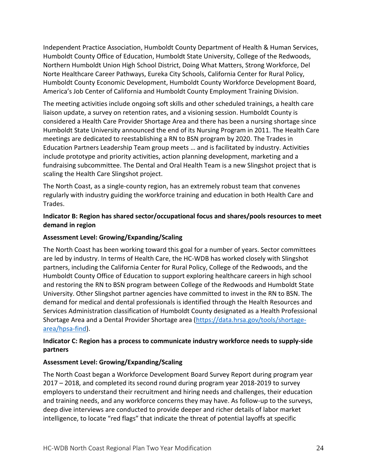Independent Practice Association, Humboldt County Department of Health & Human Services, Humboldt County Office of Education, Humboldt State University, College of the Redwoods, Northern Humboldt Union High School District, Doing What Matters, Strong Workforce, Del Norte Healthcare Career Pathways, Eureka City Schools, California Center for Rural Policy, Humboldt County Economic Development, Humboldt County Workforce Development Board, America's Job Center of California and Humboldt County Employment Training Division.

The meeting activities include ongoing soft skills and other scheduled trainings, a health care liaison update, a survey on retention rates, and a visioning session. Humboldt County is considered a Health Care Provider Shortage Area and there has been a nursing shortage since Humboldt State University announced the end of its Nursing Program in 2011. The Health Care meetings are dedicated to reestablishing a RN to BSN program by 2020. The Trades in Education Partners Leadership Team group meets … and is facilitated by industry. Activities include prototype and priority activities, action planning development, marketing and a fundraising subcommittee. The Dental and Oral Health Team is a new Slingshot project that is scaling the Health Care Slingshot project.

The North Coast, as a single-county region, has an extremely robust team that convenes regularly with industry guiding the workforce training and education in both Health Care and Trades.

## **Indicator B: Region has shared sector/occupational focus and shares/pools resources to meet demand in region**

## **Assessment Level: Growing/Expanding/Scaling**

The North Coast has been working toward this goal for a number of years. Sector committees are led by industry. In terms of Health Care, the HC-WDB has worked closely with Slingshot partners, including the California Center for Rural Policy, College of the Redwoods, and the Humboldt County Office of Education to support exploring healthcare careers in high school and restoring the RN to BSN program between College of the Redwoods and Humboldt State University. Other Slingshot partner agencies have committed to invest in the RN to BSN. The demand for medical and dental professionals is identified through the Health Resources and Services Administration classification of Humboldt County designated as a Health Professional Shortage Area and a Dental Provider Shortage area [\(https://data.hrsa.gov/tools/shortage](https://data.hrsa.gov/tools/shortage-area/hpsa-find)[area/hpsa-find\)](https://data.hrsa.gov/tools/shortage-area/hpsa-find).

# **Indicator C: Region has a process to communicate industry workforce needs to supply-side partners**

#### **Assessment Level: Growing/Expanding/Scaling**

The North Coast began a Workforce Development Board Survey Report during program year 2017 – 2018, and completed its second round during program year 2018-2019 to survey employers to understand their recruitment and hiring needs and challenges, their education and training needs, and any workforce concerns they may have. As follow-up to the surveys, deep dive interviews are conducted to provide deeper and richer details of labor market intelligence, to locate "red flags" that indicate the threat of potential layoffs at specific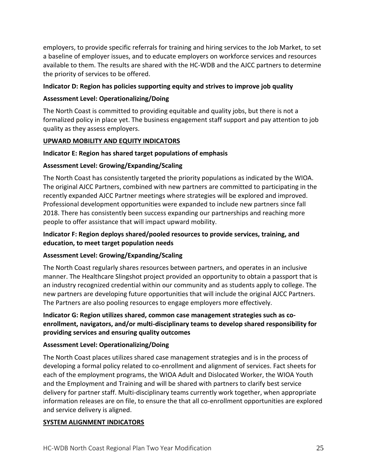employers, to provide specific referrals for training and hiring services to the Job Market, to set a baseline of employer issues, and to educate employers on workforce services and resources available to them. The results are shared with the HC-WDB and the AJCC partners to determine the priority of services to be offered.

## **Indicator D: Region has policies supporting equity and strives to improve job quality**

## **Assessment Level: Operationalizing/Doing**

The North Coast is committed to providing equitable and quality jobs, but there is not a formalized policy in place yet. The business engagement staff support and pay attention to job quality as they assess employers.

#### **UPWARD MOBILITY AND EQUITY INDICATORS**

#### **Indicator E: Region has shared target populations of emphasis**

#### **Assessment Level: Growing/Expanding/Scaling**

The North Coast has consistently targeted the priority populations as indicated by the WIOA. The original AJCC Partners, combined with new partners are committed to participating in the recently expanded AJCC Partner meetings where strategies will be explored and improved. Professional development opportunities were expanded to include new partners since fall 2018. There has consistently been success expanding our partnerships and reaching more people to offer assistance that will impact upward mobility.

# **Indicator F: Region deploys shared/pooled resources to provide services, training, and education, to meet target population needs**

# **Assessment Level: Growing/Expanding/Scaling**

The North Coast regularly shares resources between partners, and operates in an inclusive manner. The Healthcare Slingshot project provided an opportunity to obtain a passport that is an industry recognized credential within our community and as students apply to college. The new partners are developing future opportunities that will include the original AJCC Partners. The Partners are also pooling resources to engage employers more effectively.

# **Indicator G: Region utilizes shared, common case management strategies such as coenrollment, navigators, and/or multi-disciplinary teams to develop shared responsibility for providing services and ensuring quality outcomes**

# **Assessment Level: Operationalizing/Doing**

The North Coast places utilizes shared case management strategies and is in the process of developing a formal policy related to co-enrollment and alignment of services. Fact sheets for each of the employment programs, the WIOA Adult and Dislocated Worker, the WIOA Youth and the Employment and Training and will be shared with partners to clarify best service delivery for partner staff. Multi-disciplinary teams currently work together, when appropriate information releases are on file, to ensure the that all co-enrollment opportunities are explored and service delivery is aligned.

#### **SYSTEM ALIGNMENT INDICATORS**